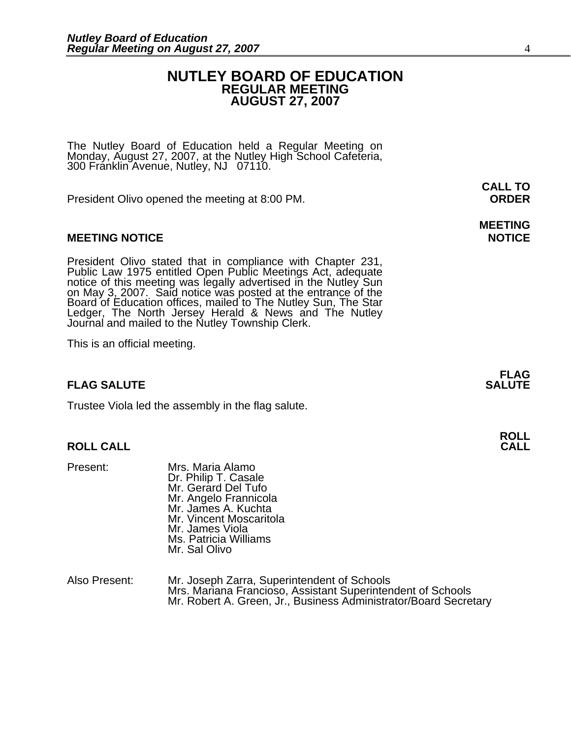### **NUTLEY BOARD OF EDUCATION REGULAR MEETING AUGUST 27, 2007**

The Nutley Board of Education held a Regular Meeting on Monday, August 27, 2007, at the Nutley High School Cafeteria, 300 Franklin Avenue, Nutley, NJ 07110.

President Olivo opened the meeting at 8:00 PM. **ORDER**

### **MEETING NOTICE NOTICE AND RESERVE ASSESS**

President Olivo stated that in compliance with Chapter 231,<br>Public Law 1975 entitled Open Public Meetings Act, adequate<br>notice of this meeting was legally advertised in the Nutley Sun<br>on May 3, 2007. Said notice was posted Ledger, The North Jersey Herald & News and The Nutley Journal and mailed to the Nutley Township Clerk.

This is an official meeting.

### **FLAG SALUTE** SALUTE

Trustee Viola led the assembly in the flag salute.

### **ROLL CALL**

- Present: Mrs. Maria Alamo Dr. Philip T. Casale Mr. Gerard Del Tufo Mr. Angelo Frannicola Mr. James A. Kuchta Mr. Vincent Moscaritola Mr. James Viola Ms. Patricia Williams Mr. Sal Olivo
- Also Present: Mr. Joseph Zarra, Superintendent of Schools<br>Mrs. Mariana Francioso, Assistant Superintendent of Schools Mr. Robert A. Green, Jr., Business Administrator/Board Secretary

**CALL TO** 

# **MEETING**

**FLAG**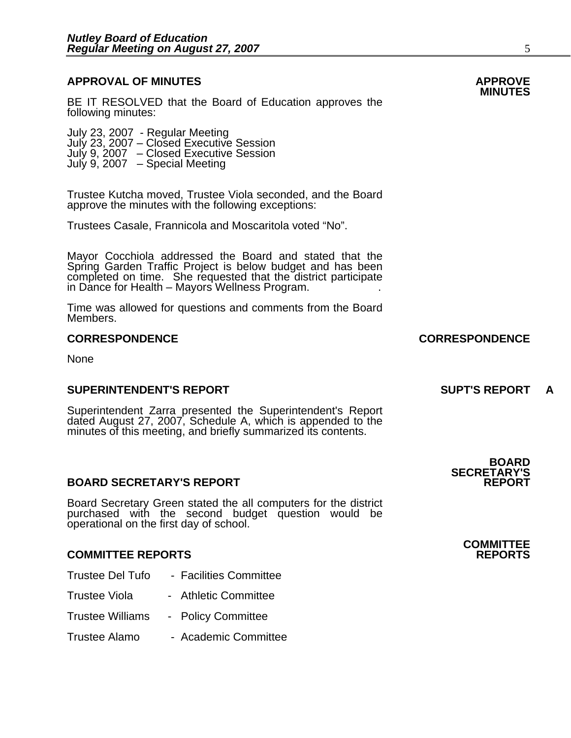## **APPROVAL OF MINUTES APPROVE**

BE IT RESOLVED that the Board of Education approves the following minutes:

 July 23, 2007 - Regular Meeting July 23, 2007 – Closed Executive Session July 9, 2007 – Closed Executive Session July 9, 2007 – Special Meeting

> Trustee Kutcha moved, Trustee Viola seconded, and the Board approve the minutes with the following exceptions:

Trustees Casale, Frannicola and Moscaritola voted "No".

Mayor Cocchiola addressed the Board and stated that the Spring Garden Traffic Project is below budget and has been completed on time. She requested that the district participate in Dance for Health – Mayors Wellness Program. .

Time was allowed for questions and comments from the Board Members.

None

### **SUPERINTENDENT'S REPORT SUPT'S REPORT A**

Superintendent Zarra presented the Superintendent's Report dated August 27, 2007, Schedule A, which is appended to the minutes of this meeting, and briefly summarized its contents.

### **BOARD SECRETARY'S REPORT**

Board Secretary Green stated the all computers for the district purchased with the second budget question would be operational on the first day of school.

### **COMMITTEE REPORTS REPORTS**

- Trustee Del Tufo Facilities Committee
- Trustee Viola Athletic Committee
- Trustee Williams Policy Committee
- Trustee Alamo Academic Committee

### **CORRESPONDENCE CORRESPONDENCE**

**BOARD SECRETARY'S** 

**COMMITTEE**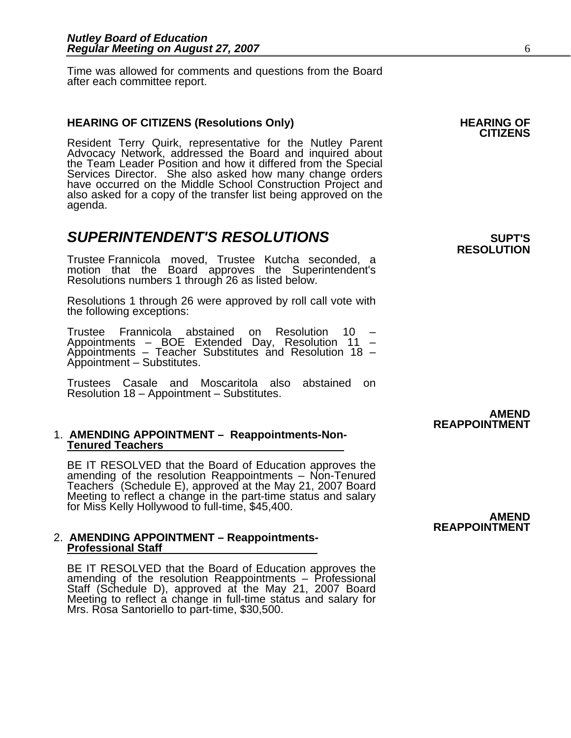Time was allowed for comments and questions from the Board after each committee report.

**HEARING OF CITIZENS (Resolutions Only) HEARING OF CITIZENS**<br>**CITIZENS** Resident Terry Quirk, representative for the Nutley Parent Advocacy Network, addressed the Board and inquired about<br>the Team Leader Position and how it differed from the Special<br>Services Director. She also asked how many change orders<br>have occurred on the Middle School Constructio agenda.

## **SUPERINTENDENT'S RESOLUTIONS** *SUPERINTENDENT'S*

Trustee Frannicola moved, Trustee Kutcha seconded, a motion that the Board approves the Superintendent's Resolutions numbers 1 through 26 as listed below.

Resolutions 1 through 26 were approved by roll call vote with the following exceptions:

Trustee Frannicola abstained on Resolution 10 – Appointments – BOE Extended Day, Resolution 11 – Appointments – Teacher Substitutes and Resolution 18 – Appointment – Substitutes.

Trustees Casale and Moscaritola also abstained on Resolution 18 – Appointment – Substitutes.

### 1. **AMENDING APPOINTMENT – Reappointments-Non-Tenured Teachers**

BE IT RESOLVED that the Board of Education approves the amending of the resolution Reappointments – Non-Tenured Teachers (Schedule E), approved at the May 21, 2007 Board Meeting to reflect a change in the part-time status and salary<br>for Miss Kelly Hollywood to full-time, \$45,400. **AMEND** 

### 2. **AMENDING APPOINTMENT – Reappointments-Professional Staff**

BE IT RESOLVED that the Board of Education approves the amending of the resolution Reappointments – Professional Staff (Schedule D), approved at the May 21, 2007 Board Meeting to reflect a change in full-time status and sa Mrs. Rosa Santoriello to part-time, \$30,500.

# **RESOLUTION**

### **AMEND REAPPOINTMENT**

## **REAPPOINTMENT**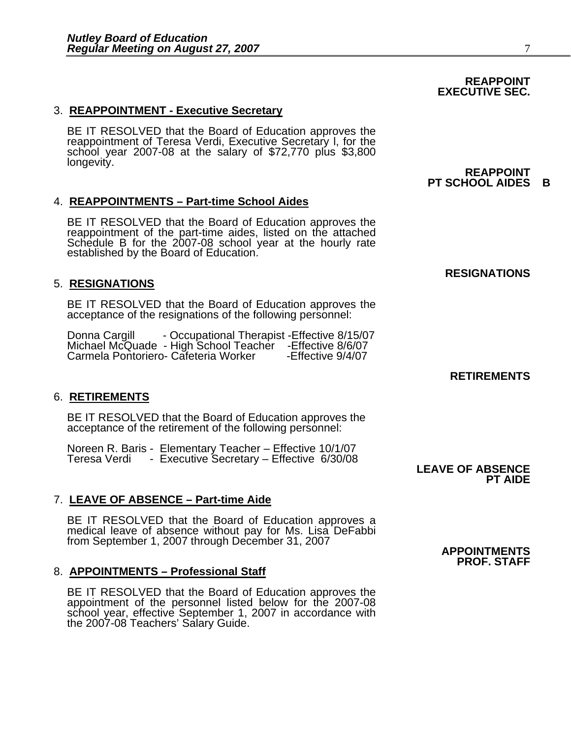### 3. **REAPPOINTMENT - Executive Secretary**

BE IT RESOLVED that the Board of Education approves the reappointment of Teresa Verdi, Executive Secretary I, for the school year 2007-08 at the salary of \$72,770 plus \$3,800<br>longevity. **REAPPOINT** 

### 4. **REAPPOINTMENTS – Part-time School Aides**

BE IT RESOLVED that the Board of Education approves the reappointment of the part-time aides, listed on the attached Schedule B for the 2007-08 school year at the hourly rate established by the Board of Education.

### 5. **RESIGNATIONS**

BE IT RESOLVED that the Board of Education approves the acceptance of the resignations of the following personnel:

Donna Cargill - Occupational Therapist -Effective 8/15/07 Michael McQuade - High School Teacher -Effective 8/6/07 Carmela Pontoriero- Cafeteria Worker

### 6. **RETIREMENTS**

BE IT RESOLVED that the Board of Education approves the acceptance of the retirement of the following personnel:

Noreen R. Baris - Elementary Teacher – Effective 10/1/07 Teresa Verdi - Executive Secretary – Effective 6/30/08 **LEAVE OF ABSENCE**

### 7. **LEAVE OF ABSENCE – Part-time Aide**

BE IT RESOLVED that the Board of Education approves a<br>medical leave of absence without pay for Ms. Lisa DeFabbi<br>from September 1, 2007 through December 31, 2007

### 8. **APPOINTMENTS – Professional Staff**

BE IT RESOLVED that the Board of Education approves the<br>appointment of the personnel listed below for the 2007-08<br>school year, effective September 1, 2007 in accordance with the 2007-08 Teachers' Salary Guide.

**RESIGNATIONS** 

**PT SCHOOL AIDES B** 

## **RETIREMENTS**

**PT AIDE** 

**PROF. STAFF** 

### **REAPPOINT EXECUTIVE SEC.**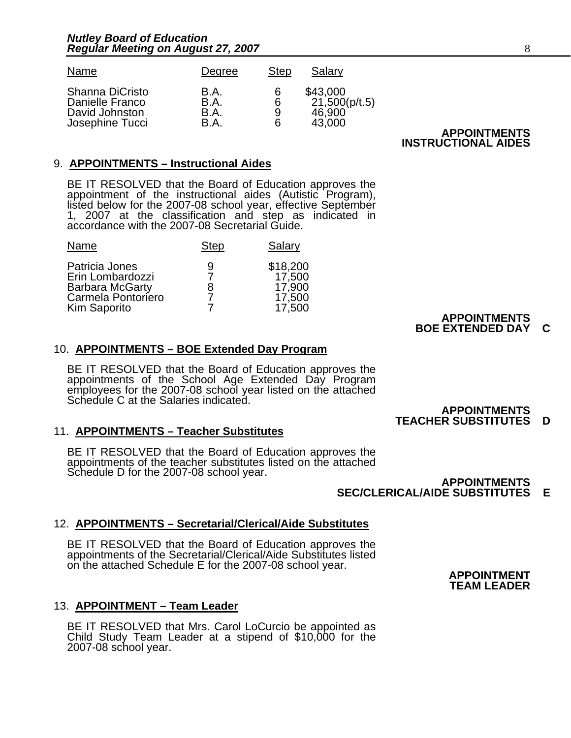| Name            | Degree | Step | Salary        |                     |
|-----------------|--------|------|---------------|---------------------|
| Shanna DiCristo | B.A.   | 6    | \$43,000      | <b>APPOINTMENTS</b> |
| Danielle Franco | B.A.   | 6    | 21,500(p/t.5) |                     |
| David Johnston  | B.A.   | 9    | 46,900        |                     |
| Josephine Tucci | B.A.   | 6    | 43,000        |                     |

**INSTRUCTIONAL AIDES** 

### 9. **APPOINTMENTS – Instructional Aides**

BE IT RESOLVED that the Board of Education approves the appointment of the instructional aides (Autistic Program), listed below for the 2007-08 school year, effective September 1, 2007 at the classification and step as ind

| Name                                                                                               | <b>Step</b> | Salary                                           |
|----------------------------------------------------------------------------------------------------|-------------|--------------------------------------------------|
| Patricia Jones<br>Erin Lombardozzi<br><b>Barbara McGarty</b><br>Carmela Pontoriero<br>Kim Saporito | 9<br>8      | \$18,200<br>17,500<br>17,900<br>17,500<br>17,500 |

### Kim Saporito 7 17,500 **APPOINTMENTS BOE EXTENDED DAY C**

### 10. **APPOINTMENTS – BOE Extended Day Program**

BE IT RESOLVED that the Board of Education approves the appointments of the School Age Extended Day Program employees for the 2007-08 school year listed on the attached Schedule C at the Salaries indicated.

### 11. **APPOINTMENTS – Teacher Substitutes**

BE IT RESOLVED that the Board of Education approves the appointments of the teacher substitutes listed on the attached Schedule D for the 2007-08 school year.<br>**APPOINTMENTS** 

## **SEC/CLERICAL/AIDE SUBSTITUTES E**

### 12. **APPOINTMENTS – Secretarial/Clerical/Aide Substitutes**

BE IT RESOLVED that the Board of Education approves the appointments of the Secretarial/Clerical/Aide Substitutes listed on the attached Schedule E for the 2007-08 school year.<br>**APPOINTMENT** 

### 13. **APPOINTMENT – Team Leader**

BE IT RESOLVED that Mrs. Carol LoCurcio be appointed as Child Study Team Leader at a stipend of \$10,000 for the 2007-08 school year.

### **APPOINTMENTS TEACHER SUBSTITUTES D**

## **TEAM LEADER**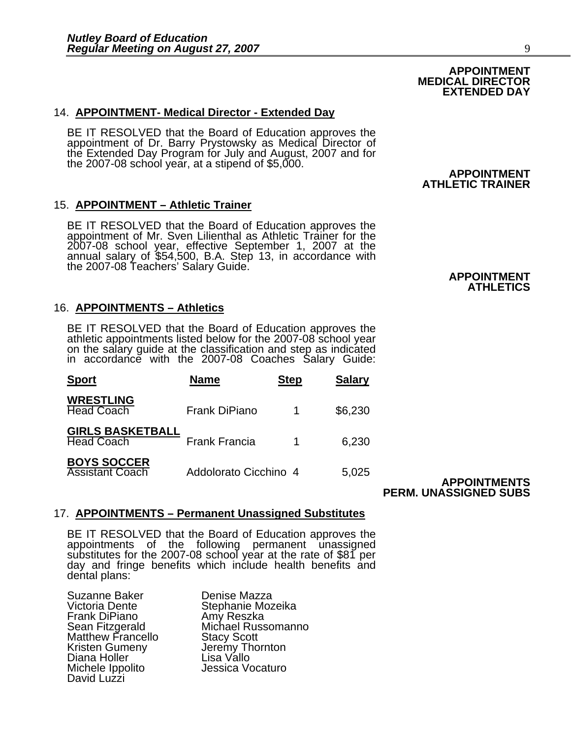### 14. **APPOINTMENT- Medical Director - Extended Day**

BE IT RESOLVED that the Board of Education approves the appointment of Dr. Barry Prystowsky as Medical Director of the Extended Day Program for July and August, 2007 and for the 2007-08 school year, at a stipend of \$5,000.

### 15. **APPOINTMENT – Athletic Trainer**

BE IT RESOLVED that the Board of Education approves the appointment of Mr. Sven Lilienthal as Athletic Trainer for the 2007-08 school year, effective September 1, 2007 at the annual salary of \$54,500, B.A. Step 13, in accordance with **APPOINTMENT**<br>the 2007-08 Teachers' Salary Guide. **APPOINTMENT** 

### 16. **APPOINTMENTS – Athletics**

BE IT RESOLVED that the Board of Education approves the athletic appointments listed below for the 2007-08 school year on the salary guide at the classification and step as indicated in accordance with the 2007-08 Coaches

| <b>Sport</b>                                 | <b>Name</b>           | <b>Step</b> | <b>Salary</b> |
|----------------------------------------------|-----------------------|-------------|---------------|
| <b>WRESTLING</b><br><b>Head Coach</b>        | Frank DiPiano         |             | \$6,230       |
| <b>GIRLS BASKETBALL</b><br><b>Head Coach</b> | <b>Frank Francia</b>  |             | 6,230         |
| <b>BOYS SOCCER</b><br><b>Assistant Coach</b> | Addolorato Cicchino 4 |             | 5,025         |

### **APPOINTMENTS PERM. UNASSIGNED SUBS**

### 17. **APPOINTMENTS – Permanent Unassigned Substitutes**

BE IT RESOLVED that the Board of Education approves the appointments of the following permanent unassigned substitutes for the 2007-08 school year at the rate of \$81 per day and fringe benefits which include health benefits and dental plans:

Suzanne Baker **Denise Mazza**<br>Victoria Dente **Casa Stephanie Moz** Frank DiPiano Amy Reszka<br>Sean Fitzgerald Michael Russ Matthew Francello<br>Kristen Gumeny Diana Holler<br>Michele Ippolito David Luzzi

Stephanie Mozeika Michael Russomanno<br>Stacy Scott Jeremy Thornton<br>Lisa Vallo Jessica Vocaturo

### **APPOINTMENT ATHLETIC TRAINER**

**APPOINTMENT MEDICAL DIRECTOR EXTENDED DAY** 

**ATHLETICS**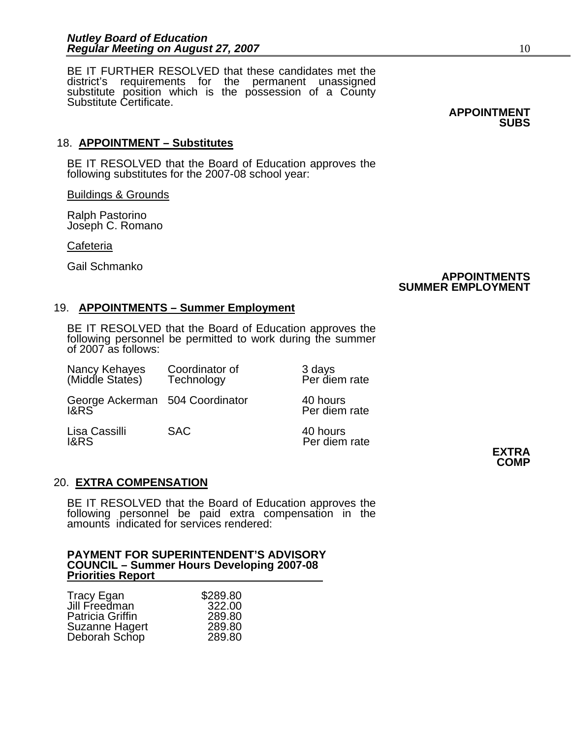٦ BE IT FURTHER RESOLVED that these candidates met the district's requirements for the permanent unassigned substitute position which is the possession of a County Substitute Certificate.

**APPOINTMENT SUBS** 

### 18. **APPOINTMENT – Substitutes**

BE IT RESOLVED that the Board of Education approves the following substitutes for the 2007-08 school year:

Buildings & Grounds

Ralph Pastorino Joseph C. Romano

Cafeteria

Gail Schmanko

### **APPOINTMENTS SUMMER EMPLOYMENT**

### 19. **APPOINTMENTS – Summer Employment**

BE IT RESOLVED that the Board of Education approves the following personnel be permitted to work during the summer of 2007 as follows:

| Nancy Kehayes<br>(Middle States)        | Coordinator of<br>Technology | 3 days<br>Per diem rate   |              |
|-----------------------------------------|------------------------------|---------------------------|--------------|
| George Ackerman 504 Coordinator<br>I&RS |                              | 40 hours<br>Per diem rate |              |
| Lisa Cassilli<br><b>I&amp;RS</b>        | <b>SAC</b>                   | 40 hours<br>Per diem rate | <b>EXTRA</b> |

## **COMP**

### 20. **EXTRA COMPENSATION**

BE IT RESOLVED that the Board of Education approves the following personnel be paid extra compensation in the amounts indicated for services rendered:

### **PAYMENT FOR SUPERINTENDENT'S ADVISORY COUNCIL – Summer Hours Developing 2007-08 Priorities Report**

| Tracy Egan              | \$289.80 |
|-------------------------|----------|
| Jill Freedman           | 322.00   |
| <b>Patricia Griffin</b> | 289.80   |
| <b>Suzanne Hagert</b>   | 289.80   |
| Deborah Schop           | 289.80   |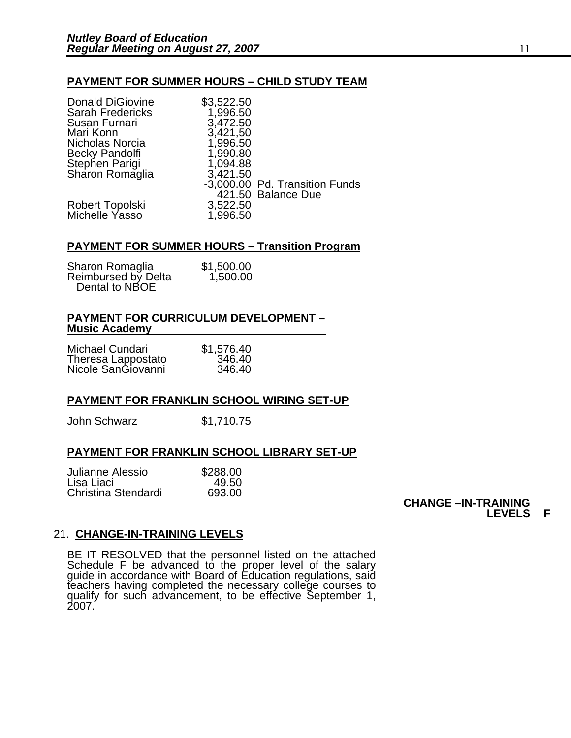### **PAYMENT FOR SUMMER HOURS – CHILD STUDY TEAM**

| \$3,522.50 |                                |
|------------|--------------------------------|
|            |                                |
| 3,472.50   |                                |
|            |                                |
| 1,996.50   |                                |
| 1,990.80   |                                |
| 1,094.88   |                                |
| 3,421.50   |                                |
|            | -3,000.00 Pd. Transition Funds |
|            | 421.50 Balance Due             |
| 3,522.50   |                                |
| 1,996.50   |                                |
|            | 1,996.50<br>3,421,50           |

### **PAYMENT FOR SUMMER HOURS – Transition Program**

| Sharon Romaglia     | \$1,500.00 |
|---------------------|------------|
| Reimbursed by Delta | 1,500.00   |
| Dental to NBOE      |            |

### **PAYMENT FOR CURRICULUM DEVELOPMENT – Music Academy**

| Michael Cundari                          | \$1,576.40 |
|------------------------------------------|------------|
| Theresa Lappostato<br>Nicole SanGiovanni | 346.40     |
|                                          | 346.40     |

### **PAYMENT FOR FRANKLIN SCHOOL WIRING SET-UP**

John Schwarz \$1,710.75

### **PAYMENT FOR FRANKLIN SCHOOL LIBRARY SET-UP**

| Julianne Alessio    | \$288.00 |
|---------------------|----------|
| Lisa Liaci          | 49.50    |
| Christina Stendardi | 693.00   |

### **CHANGE –IN-TRAINING LEVELS F**

### 21. **CHANGE-IN-TRAINING LEVELS**

BE IT RESOLVED that the personnel listed on the attached Schedule F be advanced to the proper level of the salary<br>guide in accordance with Board of Education regulations, said<br>teachers having completed the necessary college courses to<br>qualify for such advancement, to be effectiv 2007.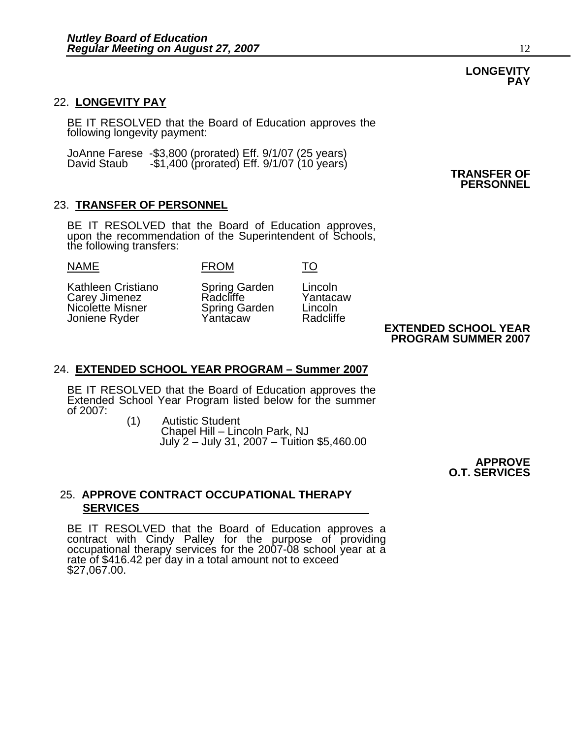### 22. **LONGEVITY PAY**

BE IT RESOLVED that the Board of Education approves the following longevity payment:

JoAnne Farese -\$3,800 (prorated) Eff. 9/1/07 (25 years) David Staub -\$1,400 (prorated) Eff. 9/1/07 (10 years) **TRANSFER OF**

### 23. **TRANSFER OF PERSONNEL**

BE IT RESOLVED that the Board of Education approves, upon the recommendation of the Superintendent of Schools, the following transfers:

### NAME FROM TO

Kathleen Cristiano Spring Garden Lincoln Carey Jimenez Radcliffe Yantacaw Nicolette Misner Spring Garden Lincoln<br>
Joniene Ryder Mantacaw Radcliffe Joniene Ryder

### **EXTENDED SCHOOL YEAR PROGRAM SUMMER 2007**

### 24. **EXTENDED SCHOOL YEAR PROGRAM – Summer 2007**

BE IT RESOLVED that the Board of Education approves the Extended School Year Program listed below for the summer of 2007:<br>
(1) Autistic Student

Autistic Student Chapel Hill – Lincoln Park, NJ July 2 – July 31, 2007 – Tuition \$5,460.00

> **APPROVE O.T. SERVICES**

### 25. **APPROVE CONTRACT OCCUPATIONAL THERAPY SERVICES**

BE IT RESOLVED that the Board of Education approves a contract with Cindy Palley for the purpose of providing occupational therapy services for the 2007-08 school year at a rate of \$416.42 per day in a total amount not to \$27,067.00.

### **LONGEVITY PAY**

**PERSONNEL**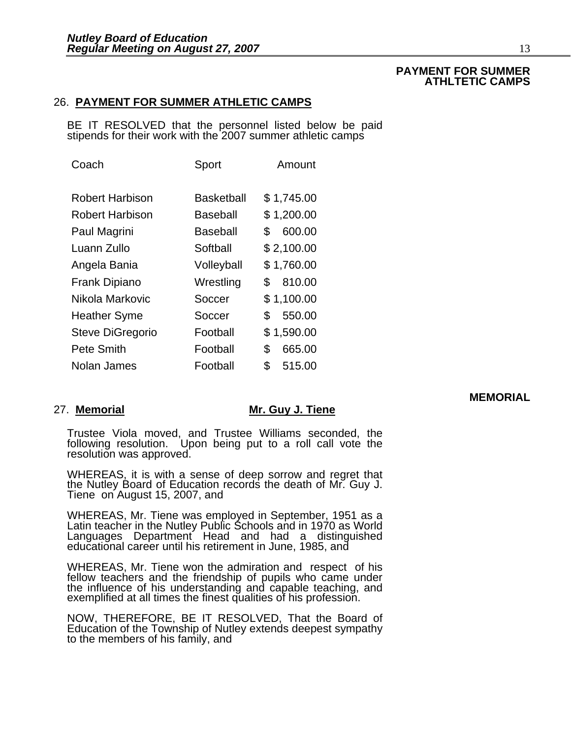### **PAYMENT FOR SUMMER ATHLTETIC CAMPS**

### 26. **PAYMENT FOR SUMMER ATHLETIC CAMPS**

BE IT RESOLVED that the personnel listed below be paid stipends for their work with the 2007 summer athletic camps

| Coach                   | Sport      | Amount       |
|-------------------------|------------|--------------|
| <b>Robert Harbison</b>  | Basketball | \$1,745.00   |
| <b>Robert Harbison</b>  | Baseball   | \$1,200.00   |
| Paul Magrini            | Baseball   | 600.00<br>\$ |
| Luann Zullo             | Softball   | \$2,100.00   |
| Angela Bania            | Volleyball | \$1,760.00   |
| <b>Frank Dipiano</b>    | Wrestling  | 810.00<br>\$ |
| Nikola Markovic         | Soccer     | \$1,100.00   |
| <b>Heather Syme</b>     | Soccer     | 550.00<br>\$ |
| <b>Steve DiGregorio</b> | Football   | \$1,590.00   |
| Pete Smith              | Football   | \$<br>665.00 |
| Nolan James             | Football   | \$<br>515.00 |

### 27. **Memorial Mr. Guy J. Tiene**

Trustee Viola moved, and Trustee Williams seconded, the following resolution. Upon being put to a roll call vote the resolution was approved.

WHEREAS, it is with a sense of deep sorrow and regret that the Nutley Board of Education records the death of Mr. Guy J. Tiene on August 15, 2007, and

WHEREAS, Mr. Tiene was employed in September, 1951 as a<br>Latin teacher in the Nutley Public Schools and in 1970 as World Languages Department Head and had a distinguished<br>educational career until his retirement in June, 1985, and

WHEREAS, Mr. Tiene won the admiration and respect of his fellow teachers and the friendship of pupils who came under the influence of his understanding and capable teaching, and exemplified at all times the finest qualitie

NOW, THEREFORE, BE IT RESOLVED, That the Board of Education of the Township of Nutley extends deepest sympathy to the members of his family, and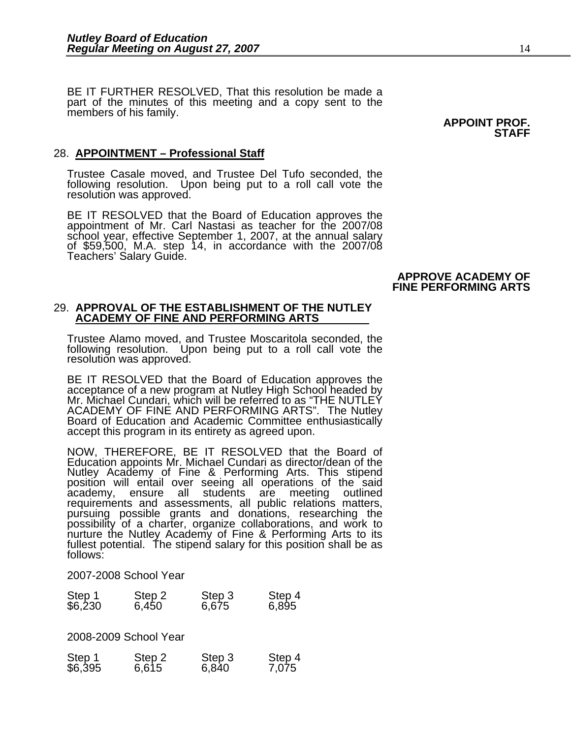BE IT FURTHER RESOLVED, That this resolution be made a part of the minutes of this meeting and a copy sent to the members of his family.<br> **APPOINT PROF.** 

### 28. **APPOINTMENT – Professional Staff**

Trustee Casale moved, and Trustee Del Tufo seconded, the following resolution. Upon being put to a roll call vote the resolution was approved.

BE IT RESOLVED that the Board of Education approves the appointment of Mr. Carl Nastasi as teacher for the 2007/08 school year, effective September 1, 2007, at the annual salary of \$59,500, M.A. step 14, in accordance with the 2007/08 Teachers' Salary Guide.

### **APPROVE ACADEMY OF FINE PERFORMING ARTS**

### 29. **APPROVAL OF THE ESTABLISHMENT OF THE NUTLEY ACADEMY OF FINE AND PERFORMING ARTS**

Trustee Alamo moved, and Trustee Moscaritola seconded, the following resolution. Upon being put to a roll call vote the resolution was approved.

BE IT RESOLVED that the Board of Education approves the acceptance of a new program at Nutley High School headed by Mr. Michael Cundari, which will be referred to as "THE NUTLEY ACADEMY OF FINE AND PERFORMING ARTS". The Nutley Board of Education and Academic Committee enthusiastically accept this program in its entirety as agreed upon.

NOW, THEREFORE, BE IT RESOLVED that the Board of Education appoints Mr. Michael Cundari as director/dean of the Nutley Academy of Fine & Performing Arts. This stipend position will entail over seeing all operations of the said position will entail over seeing all operations of the said<br>academy, ensure all students are meeting outlined<br>requirements and assessments, all public relations matters,<br>pursuing possible grants and donations, researching nurture the Nutley Academy of Fine & Performing Arts to its fullest potential. The stipend salary for this position shall be as follows:

2007-2008 School Year

|                   | Step 2 | Step 3 | Step 4 |
|-------------------|--------|--------|--------|
| Step 1<br>\$6,230 | 6,450  | 6,675  | 6,895  |

2008-2009 School Year

| Step 1<br>\$6,395 | Step 2<br>6,615 | Step 3<br>6,840 | Step 4<br>7,075 |
|-------------------|-----------------|-----------------|-----------------|

## **STAFF**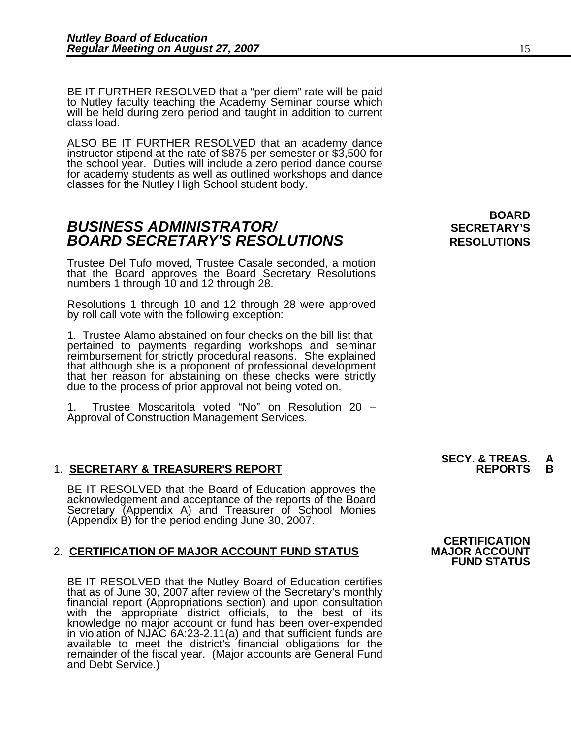BE IT FURTHER RESOLVED that a "per diem" rate will be paid to Nutley faculty teaching the Academy Seminar course which will be held during zero period and taught in addition to current class load.

ALSO BE IT FURTHER RESOLVED that an academy dance instructor stipend at the rate of \$875 per semester or \$3,500 for the school year. Duties will include a zero period dance course for academy students as well as outlined workshops and dance classes for the Nutley High School student body.

### **BOARD BUSINESS ADMINISTRATOR/** *BUSINESS ADMINISTRATOR/* **BOARD SECRETARY'S RESOLUTIONS** RESOLUTIONS

Trustee Del Tufo moved, Trustee Casale seconded, a motion that the Board approves the Board Secretary Resolutions numbers 1 through 10 and 12 through 28.

Resolutions 1 through 10 and 12 through 28 were approved by roll call vote with the following exception:

1. Trustee Alamo abstained on four checks on the bill list that reimbursement for strictly procedural reasons. She explained<br>that although she is a proponent of professional development<br>that her reason for abstaining on these checks were strictly<br>due to the process of prior approval no

1. Trustee Moscaritola voted "No" on Resolution 20 – Approval of Construction Management Services.

### 1. **SECRETARY & TREASURER'S REPORT REPORTS B**

BE IT RESOLVED that the Board of Education approves the acknowledgement and acceptance of the reports of the Board Secretary (Appendix A) and Treasurer of School Monies  $(Appendix B)$  for the period ending June 30, 2007.

### 2. **CERTIFICATION OF MAJOR ACCOUNT FUND STATUS**

BE IT RESOLVED that the Nutley Board of Education certifies that as of June 30, 2007 after review of the Secretary's monthly financial report (Appropriations section) and upon consultation<br>with the appropriate district officials, to the best of its<br>knowledge no major account or fund has been over-expended knowledge no major account or fund has been over-expended<br>in violation of NJAC 6A:23-2.11(a) and that sufficient funds are<br>available to meet the district's financial obligations for the remainder of the fiscal year. (Major accounts are General Fund and Debt Service.)

## **SECY. & TREAS.<br>REPORTS**

## **CERTIFICATION<br>MAJOR ACCOUNT FUND STATUS**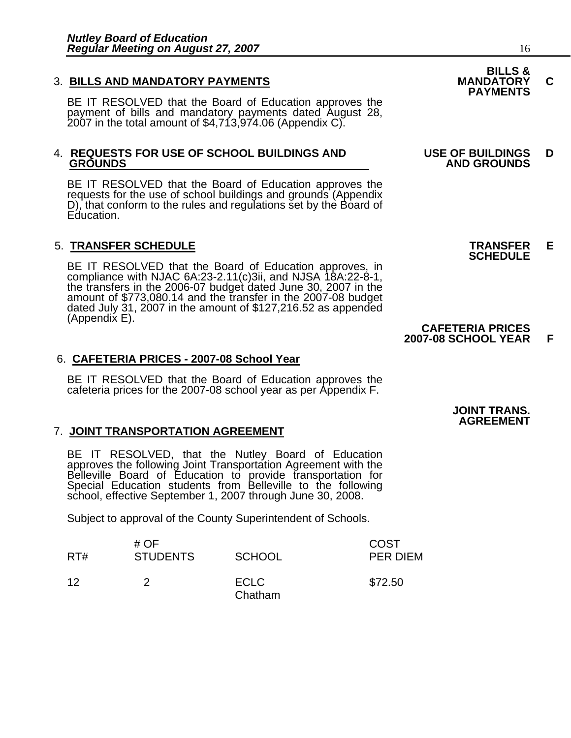### 3. **BILLS AND MANDATORY PAYMENTS MANDATORY C**

BE IT RESOLVED that the Board of Education approves the payment of bills and mandatory payments dated August 28, 2007 in the total amount of \$4,713,974.06 (Appendix C).

## 4. **REQUESTS FOR USE OF SCHOOL BUILDINGS AND USE OF BUILDINGS D**

BE IT RESOLVED that the Board of Education approves the requests for the use of school buildings and grounds (Appendix D), that conform to the rules and regulations set by the Board of Education.

5. **TRANSFER SCHEDULE**<br>**BE IT RESOLVED that the Board of Education approves, in SCHEDULE**<br>**BE IT RESOLVED that the Board of Education approves, in** compliance with NJAC 6A:23-2.11(c)3ii, and NJSA  $18A:22-8-1$ , the transfers in the 2006-07 budget dated June 30, 2007 in the amount of \$773,080.14 and the transfer in the 2007-08 budget dated July 31, 2007 in the amount o

### 6. **CAFETERIA PRICES - 2007-08 School Year**

BE IT RESOLVED that the Board of Education approves the cafeteria prices for the 2007-08 school year as per Appendix F.

### 7. **JOINT TRANSPORTATION AGREEMENT**

BE IT RESOLVED, that the Nutley Board of Education<br>approves the following Joint Transportation Agreement with the<br>Belleville Board of Education to provide transportation for<br>Special Education students from Belleville to th

Subject to approval of the County Superintendent of Schools.

| RT# | # OF<br><b>STUDENTS</b> | <b>SCHOOL</b>          | COST<br>PER DIEM |
|-----|-------------------------|------------------------|------------------|
| 12  |                         | <b>ECLC</b><br>Chatham | \$72.50          |

# **BILLS &**

### **PAYMENTS**

## **GROUNDS AND GROUNDS**

### **CAFETERIA PRICES 2007-08 SCHOOL YEAR F**

### **JOINT TRANS. AGREEMENT**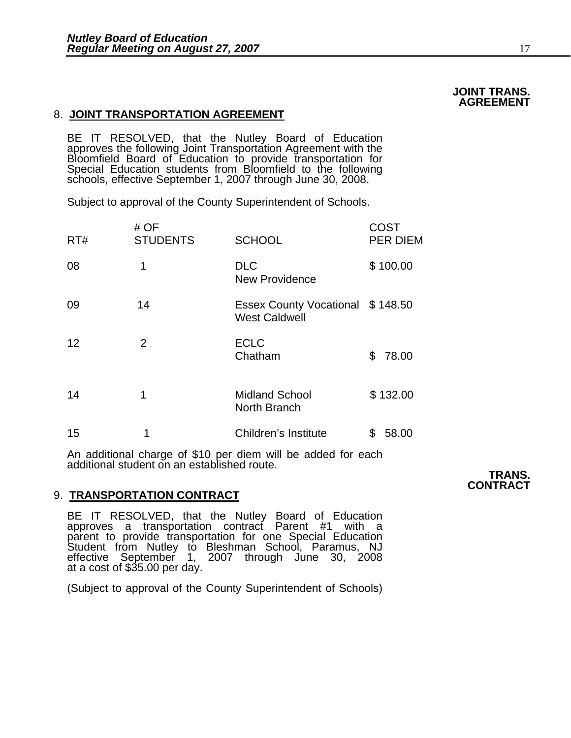### 8. **JOINT TRANSPORTATION AGREEMENT**

BE IT RESOLVED, that the Nutley Board of Education<br>approves the following Joint Transportation Agreement with the<br>Bloomfield Board of Education to provide transportation for<br>Special Education students from Bloomfield to th

Subject to approval of the County Superintendent of Schools.

| RT# | # $OF$<br><b>STUDENTS</b> | <b>SCHOOL</b>                                            | COST<br><b>PER DIEM</b> |
|-----|---------------------------|----------------------------------------------------------|-------------------------|
| 08  | 1                         | <b>DLC</b><br><b>New Providence</b>                      | \$100.00                |
| 09  | 14                        | Essex County Vocational \$148.50<br><b>West Caldwell</b> |                         |
| 12  | $\overline{2}$            | <b>ECLC</b><br>Chatham                                   | 78.00<br>\$             |
| 14  | 1                         | <b>Midland School</b><br>North Branch                    | \$132.00                |
| 15  | 1                         | Children's Institute                                     | 58.00<br>\$             |

An additional charge of \$10 per diem will be added for each additional student on an established route.

### 9. **TRANSPORTATION CONTRACT**

BE IT RESOLVED, that the Nutley Board of Education approves a transportation contract Parent #1 with a parent to provide transportation for one Special Education Student from Nutley to Bleshman School, Paramus, NJ effective September 1, 2007 through June 30, 2008 at a cost of \$35.00 per day.

(Subject to approval of the County Superintendent of Schools)

### **TRANS. CONTRACT**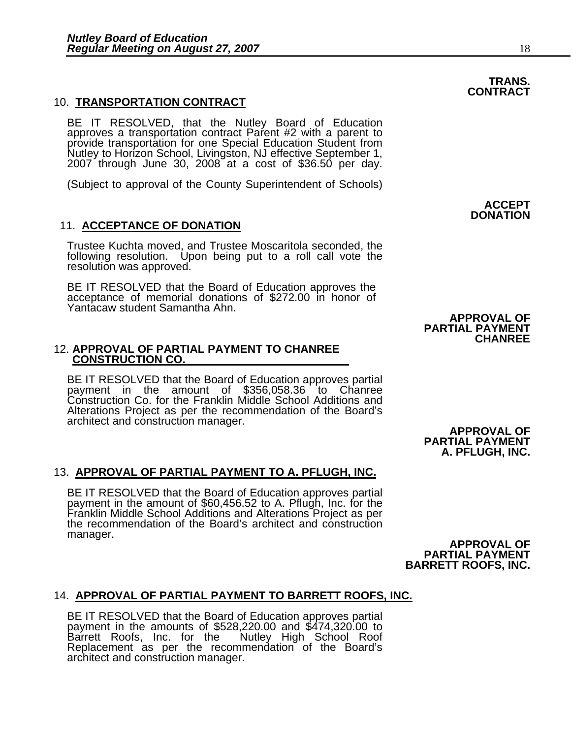### 10. **TRANSPORTATION CONTRACT**

BE IT RESOLVED, that the Nutley Board of Education approves a transportation contract Parent #2 with a parent to provide transportation for one Special Education Student from Nutley to Horizon School, Livingston, NJ effect  $2007$  through June  $30, 2008$  at a cost of \$36.50 per day.

(Subject to approval of the County Superintendent of Schools)

### 11. **ACCEPTANCE OF DONATION**

Trustee Kuchta moved, and Trustee Moscaritola seconded, the following resolution. Upon being put to a roll call vote the resolution was approved.

BE IT RESOLVED that the Board of Education approves the acceptance of memorial donations of \$272.00 in honor of Yantacaw student Samantha Ahn.

# 12. **APPROVAL OF PARTIAL PAYMENT TO CHANREE CONSTRUCTION CO.**

BE IT RESOLVED that the Board of Education approves partial payment in the amount of \$356,058.36 to Chanree Construction Co. for the Franklin Middle School Additions and Alterations Project as per the recommendation of the Board's architect and construction manager.<br> **APPROVAL OF** 

### 13. **APPROVAL OF PARTIAL PAYMENT TO A. PFLUGH, INC.**

BE IT RESOLVED that the Board of Education approves partial payment in the amount of \$60,456.52 to A. Pflugh, Inc. for the Franklin Middle School Additions and Alterations Project as per<br>the recommendation of the Board's architect and construction<br>manager. manager.<br> **APPROVAL OF** 

 **ACCEPT DONATION** 

**APPROVAL OF PARTIAL PAYMENT**

**CHANREE** 

**PARTIAL PAYMENT A. PFLUGH, INC.** 

**PARTIAL PAYMENT BARRETT ROOFS, INC.** 

14. **APPROVAL OF PARTIAL PAYMENT TO BARRETT ROOFS, INC.**<br>BE IT RESOLVED that the Board of Education approves partial<br>payment in the amounts of \$528,220.00 and \$474,320.00 to<br>Barrett Roofs, Inc. for the Nutley High School R Nutley High School Roof Replacement as per the recommendation of the Board's architect and construction manager.

### **TRANS. CONTRACT**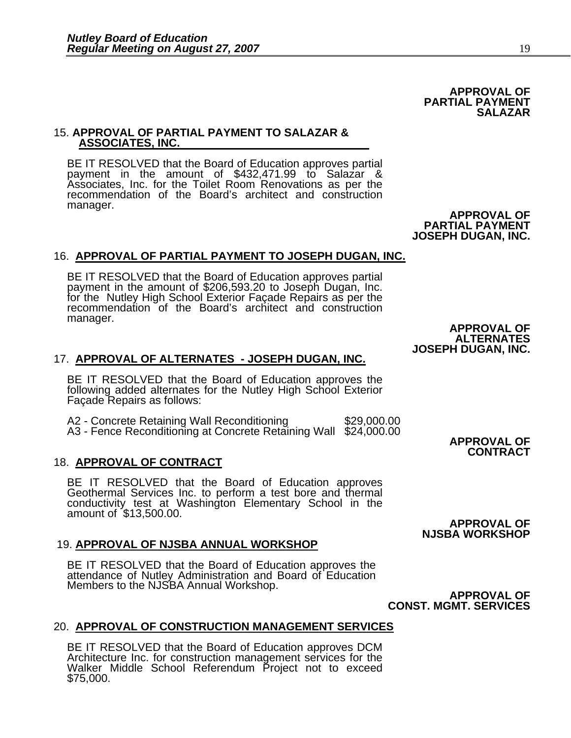### 15. **APPROVAL OF PARTIAL PAYMENT TO SALAZAR & ASSOCIATES, INC.**

BE IT RESOLVED that the Board of Education approves partial payment in the amount of \$432,471.99 to Salazar & Associates, Inc. for the Toilet Room Renovations as per the recommendation of the Board's architect and construction manager.<br> **APPROVAL OF** 

### 16. **APPROVAL OF PARTIAL PAYMENT TO JOSEPH DUGAN, INC.**

BE IT RESOLVED that the Board of Education approves partial payment in the amount of \$206,593.20 to Joseph Dugan, Inc. for the Nutley High School Exterior Façade Repairs as per the recommendation of the Board's architect and construction manager. manager.<br> **APPROVAL OF** 

### 17. **APPROVAL OF ALTERNATES - JOSEPH DUGAN, INC.**

BE IT RESOLVED that the Board of Education approves the following added alternates for the Nutley High School Exterior Façade Repairs as follows:

A2 - Concrete Retaining Wall Reconditioning  $$29,000.00$ A3 - Fence Reconditioning at Concrete Retaining Wall \$24,000.00 **APPROVAL OF**

### 18. **APPROVAL OF CONTRACT**

BE IT RESOLVED that the Board of Education approves Geothermal Services Inc. to perform a test bore and thermal conductivity test at Washington Elementary School in the amount of \$13,500.00.

### 19. **APPROVAL OF NJSBA ANNUAL WORKSHOP**

BE IT RESOLVED that the Board of Education approves the attendance of Nutley Administration and Board of Education Members to the NJSBA Annual Workshop.

 **APPROVAL OF CONST. MGMT. SERVICES**

### 20. **APPROVAL OF CONSTRUCTION MANAGEMENT SERVICES**

BE IT RESOLVED that the Board of Education approves DCM Architecture Inc. for construction management services for the Walker Middle School Referendum Project not to exceed \$75,000.

**ALTERNATES JOSEPH DUGAN, INC.** 

**PARTIAL PAYMENT JOSEPH DUGAN, INC.** 

## **APPROVAL OF**

**CONTRACT**

**NJSBA WORKSHOP**

**SALAZAR** 

**APPROVAL OF PARTIAL PAYMENT**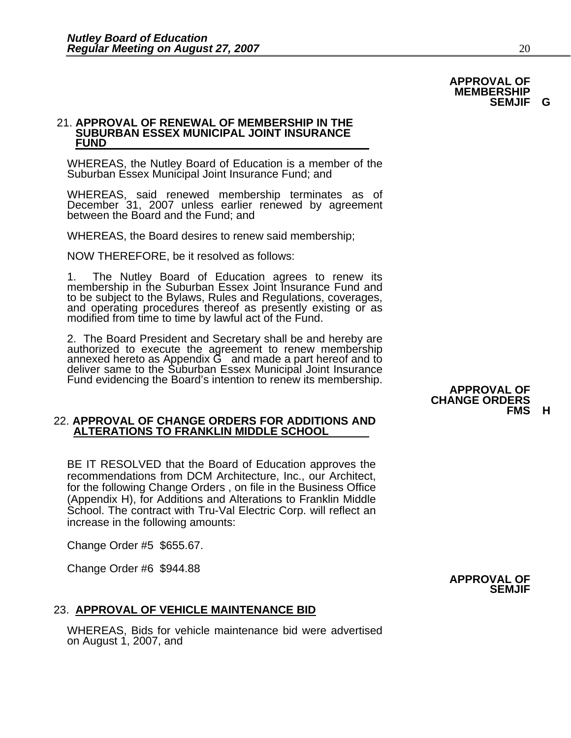### 21. **APPROVAL OF RENEWAL OF MEMBERSHIP IN THE SUBURBAN ESSEX MUNICIPAL JOINT INSURANCE FUND**

WHEREAS, the Nutley Board of Education is a member of the Suburban Essex Municipal Joint Insurance Fund; and

WHEREAS, said renewed membership terminates as of December 31, 2007 unless earlier renewed by agreement<br>between the Board and the Fund; and

WHEREAS, the Board desires to renew said membership;

NOW THEREFORE, be it resolved as follows:

1. The Nutley Board of Education agrees to renew its membership in the Suburban Essex Joint Insurance Fund and to be subject to the Bylaws, Rules and Regulations, coverages, and operating procedures thereof as presently existing or as modified from time to time by lawful act of the Fund.

2. The Board President and Secretary shall be and hereby are<br>authorized to execute the agreement to renew membership<br>annexed hereto as Appendix G and made a part hereof and to<br>deliver same to the Suburban Essex Municipal J

### 22. **APPROVAL OF CHANGE ORDERS FOR ADDITIONS AND ALTERATIONS TO FRANKLIN MIDDLE SCHOOL**

BE IT RESOLVED that the Board of Education approves the recommendations from DCM Architecture, Inc., our Architect, for the following Change Orders , on file in the Business Office (Appendix H), for Additions and Alterations to Franklin Middle School. The contract with Tru-Val Electric Corp. will reflect an increase in the following amounts:

Change Order #5 \$655.67.

Change Order #6 \$944.88

### 23. **APPROVAL OF VEHICLE MAINTENANCE BID**

WHEREAS, Bids for vehicle maintenance bid were advertised on August 1, 2007, and

### **APPROVAL OF CHANGE ORDERS FMS H**



### **APPROVAL OF MEMBERSHIP SEMJIF G**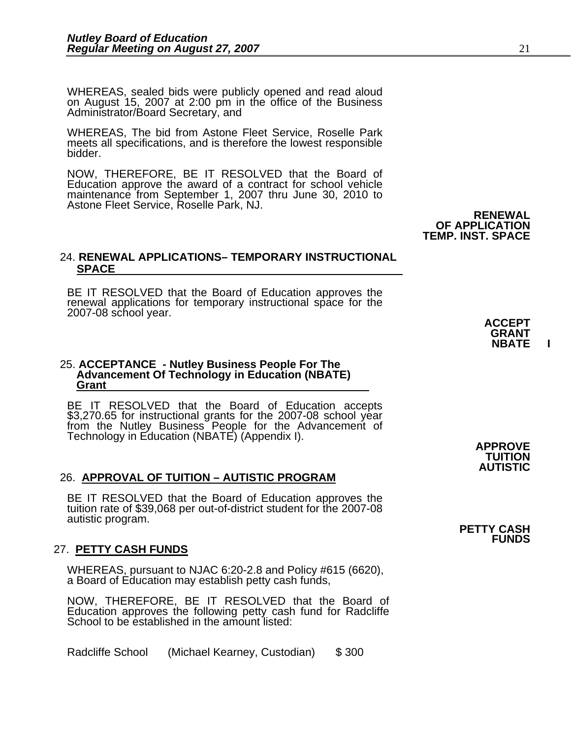WHEREAS, sealed bids were publicly opened and read aloud<br>on August 15, 2007 at 2:00 pm in the office of the Business Administrator/Board Secretary, and

WHEREAS, The bid from Astone Fleet Service, Roselle Park meets all specifications, and is therefore the lowest responsible bidder.

NOW, THEREFORE, BE IT RESOLVED that the Board of Education approve the award of a contract for school vehicle maintenance from September 1, 2007 thru June 30, 2010 to Astone Fleet Service, Roselle Park, NJ.

### 24. **RENEWAL APPLICATIONS– TEMPORARY INSTRUCTIONAL SPACE**

BE IT RESOLVED that the Board of Education approves the renewal applications for temporary instructional space for the 2007-08 school year. **ACCEPT**

## 25. **ACCEPTANCE - Nutley Business People For The Advancement Of Technology in Education (NBATE) Grant**

BE IT RESOLVED that the Board of Education accepts<br>\$3,270.65 for instructional grants for the 2007-08 school year<br>from the Nutley Business People for the Advancement of<br>Technology in Education (NBATE) (Appendix I). **APPROV** 

### **AUTISTIC** 26. **APPROVAL OF TUITION – AUTISTIC PROGRAM**

BE IT RESOLVED that the Board of Education approves the tuition rate of \$39,068 per out-of-district student for the 2007-08 autistic program. **PETTY CASH**

### 27. **PETTY CASH FUNDS**

WHEREAS, pursuant to NJAC 6:20-2.8 and Policy #615 (6620), a Board of Education may establish petty cash funds,

NOW, THEREFORE, BE IT RESOLVED that the Board of Education approves the following petty cash fund for Radcliffe School to be established in the amount listed:

Radcliffe School (Michael Kearney, Custodian) \$ 300

**TUITION** 

**FUNDS** 



 **RENEWAL**

**OF APPLICATION TEMP. INST. SPACE**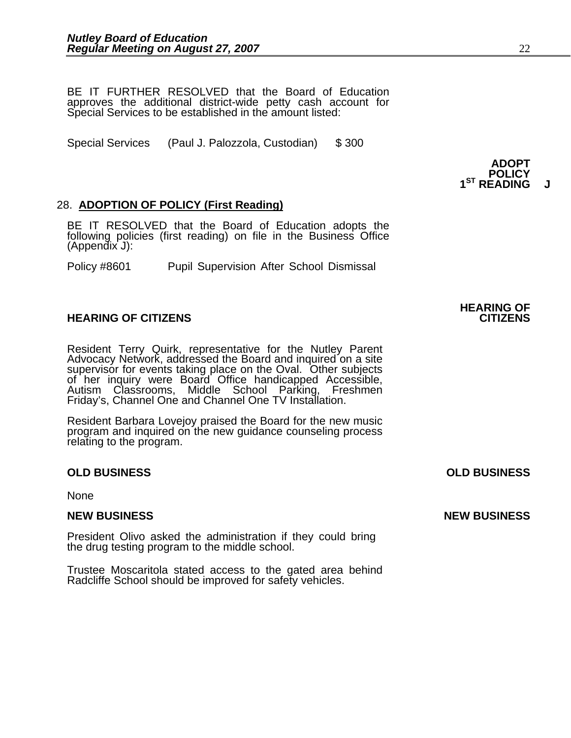BE IT FURTHER RESOLVED that the Board of Education approves the additional district-wide petty cash account for Special Services to be established in the amount listed:

 **ADOPT**

Special Services (Paul J. Palozzola, Custodian) \$ 300

### 28. **ADOPTION OF POLICY (First Reading)**

BE IT RESOLVED that the Board of Education adopts the following policies (first reading) on file in the Business Office (Appendix J):

Policy #8601 Pupil Supervision After School Dismissal

### **HEARING OF CITIZENS CITIZENS**

Resident Terry Quirk, representative for the Nutley Parent Advocacy Network, addressed the Board and inquired on a site supervisor for events taking place on the Oval. Other subjects<br>of her inquiry were Board Office handicapped Accessible,<br>Autism Classrooms, Middle School Parking, Freshmen<br>Friday's, Channel One and Channel One TV Installati

Resident Barbara Lovejoy praised the Board for the new music program and inquired on the new guidance counseling process relating to the program.

### **OLD BUSINESS OLD BUSINESS**

None

President Olivo asked the administration if they could bring the drug testing program to the middle school.

Trustee Moscaritola stated access to the gated area behind Radcliffe School should be improved for safety vehicles.

**POLICY 1ST READING J**

### **NEW BUSINESS NEW BUSINESS**